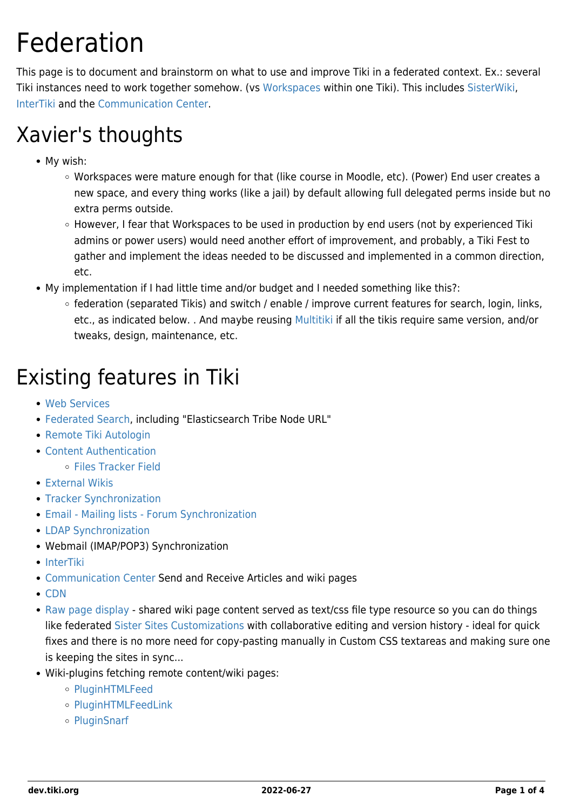# Federation

This page is to document and brainstorm on what to use and improve Tiki in a federated context. Ex.: several Tiki instances need to work together somehow. (vs [Workspaces](https://dev.tiki.org/Workspaces) within one Tiki). This includes [SisterWiki](https://dev.tiki.org/SisterWiki), [InterTiki](https://dev.tiki.org/InterTiki) and the [Communication Center](http://doc.tiki.org/Communication%20Center).

## Xavier's thoughts

- My wish:
	- Workspaces were mature enough for that (like course in Moodle, etc). (Power) End user creates a new space, and every thing works (like a jail) by default allowing full delegated perms inside but no extra perms outside.
	- However, I fear that Workspaces to be used in production by end users (not by experienced Tiki admins or power users) would need another effort of improvement, and probably, a Tiki Fest to gather and implement the ideas needed to be discussed and implemented in a common direction, etc.
- My implementation if I had little time and/or budget and I needed something like this?:
	- $\circ$  federation (separated Tikis) and switch / enable / improve current features for search, login, links, etc., as indicated below. . And maybe reusing [Multitiki](http://doc.tiki.org/Multitiki) if all the tikis require same version, and/or tweaks, design, maintenance, etc.

## Existing features in Tiki

- [Web Services](http://doc.tiki.org/Web%20Services)
- [Federated Search](http://doc.tiki.org/Federated%20Search), including "Elasticsearch Tribe Node URL"
- [Remote Tiki Autologin](http://doc.tiki.org/Remote%20Tiki%20Autologin)
- [Content Authentication](http://doc.tiki.org/Content%20Authentication)
	- [Files Tracker Field](http://doc.tiki.org/Files%20Tracker%20Field)
- [External Wikis](http://doc.tiki.org/External%20Wikis)
- [Tracker Synchronization](http://doc.tiki.org/Tracker%20Synchronization)
- [Email Mailing lists Forum Synchronization](http://doc.tiki.org/Forum%20and%20Mailing%20List%20Synchronization)
- [LDAP Synchronization](https://doc.tiki.org/LDAP+authentication#How_it_works)
- Webmail (IMAP/POP3) Synchronization
- [InterTiki](http://doc.tiki.org/InterTiki)
- [Communication Center](http://doc.tiki.org/Communication%20Center) Send and Receive Articles and wiki pages
- [CDN](http://doc.tiki.org/CDN)
- [Raw page display](http://doc.tiki.org/Raw%20page%20display) shared wiki page content served as text/css file type resource so you can do things like federated [Sister Sites Customizations](https://themes.tiki.org/Tiki_org_family_customizations_CSS) with collaborative editing and version history - ideal for quick fixes and there is no more need for copy-pasting manually in Custom CSS textareas and making sure one is keeping the sites in sync...
- Wiki-plugins fetching remote content/wiki pages:
	- o [PluginHTMLFeed](http://doc.tiki.org/PluginHTMLFeed)
	- o [PluginHTMLFeedLink](http://doc.tiki.org/PluginHTMLFeedLink)
	- [PluginSnarf](http://doc.tiki.org/PluginSnarf)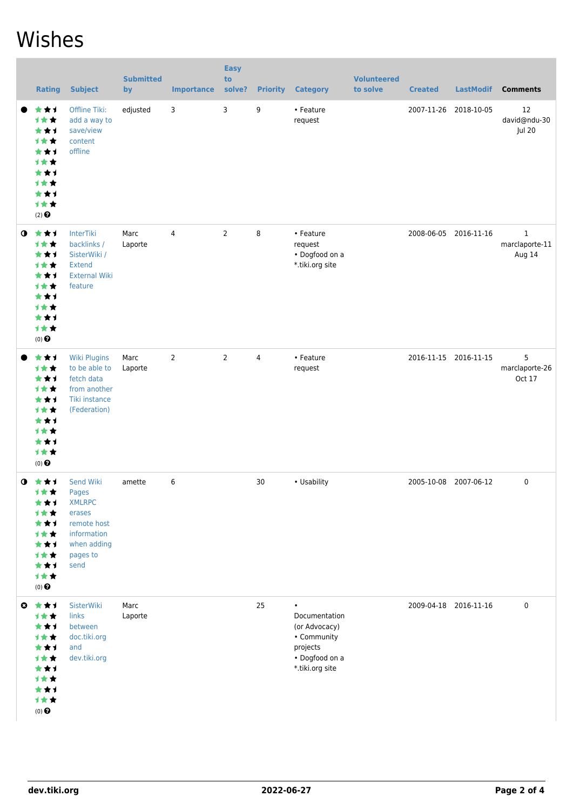### Wishes

|           | <b>Rating</b>                                                                                                    | <b>Subject</b>                                                                                                 | <b>Submitted</b><br>by | <b>Importance</b> | <b>Easy</b><br>to<br>solve? | <b>Priority</b> | <b>Category</b>                                                                                             | <b>Volunteered</b><br>to solve | <b>Created</b>        | <b>LastModif</b>      | <b>Comments</b>               |
|-----------|------------------------------------------------------------------------------------------------------------------|----------------------------------------------------------------------------------------------------------------|------------------------|-------------------|-----------------------------|-----------------|-------------------------------------------------------------------------------------------------------------|--------------------------------|-----------------------|-----------------------|-------------------------------|
|           | ***<br>1★★<br>***<br>才女女<br>***<br>***<br>***<br><b>1**</b><br>***<br>计女女<br>$(2)$ <sup><math>\odot</math></sup> | Offline Tiki:<br>add a way to<br>save/view<br>content<br>offline                                               | edjusted               | 3                 | 3                           | 9               | • Feature<br>request                                                                                        |                                | 2007-11-26            | 2018-10-05            | 12<br>david@ndu-30<br>Jul 20  |
| $\bullet$ | ***<br>计女女<br>***<br>计女女<br>***<br><b>1**</b><br>***<br>***<br>***<br>计女女<br>$(0)$ $\odot$                       | <b>InterTiki</b><br>backlinks /<br>SisterWiki /<br>Extend<br><b>External Wiki</b><br>feature                   | Marc<br>Laporte        | 4                 | $\overline{2}$              | 8               | • Feature<br>request<br>• Dogfood on a<br>*.tiki.org site                                                   |                                |                       | 2008-06-05 2016-11-16 | 1<br>marclaporte-11<br>Aug 14 |
|           | ***<br>1★★<br>***<br>计女女<br>***<br>才女女<br>***<br><b>1**</b><br>***<br>计女女<br>$(0)$ <sup><math>\odot</math></sup> | <b>Wiki Plugins</b><br>to be able to<br>fetch data<br>from another<br>Tiki instance<br>(Federation)            | Marc<br>Laporte        | $\overline{2}$    | $\overline{2}$              | $\overline{4}$  | • Feature<br>request                                                                                        |                                |                       | 2016-11-15 2016-11-15 | 5<br>marclaporte-26<br>Oct 17 |
|           | $0 \star \star \star$<br>计女女<br>***<br>***<br>***<br>1★★<br>***<br>计女女<br>***<br>1★★<br>$(0)$ $\odot$            | Send Wiki<br>Pages<br><b>XMLRPC</b><br>erases<br>remote host<br>information<br>when adding<br>pages to<br>send | amette                 | 6                 |                             | 30              | • Usability                                                                                                 |                                | 2005-10-08 2007-06-12 |                       | 0                             |
|           | ◎ ★★1<br>1★★<br>***<br>计女女<br>***<br>计女女<br>***<br>计女女<br>***<br>计女女<br>$(0)$ $\odot$                            | SisterWiki<br>links<br>between<br>doc.tiki.org<br>and<br>dev.tiki.org                                          | Marc<br>Laporte        |                   |                             | 25              | $\bullet$<br>Documentation<br>(or Advocacy)<br>• Community<br>projects<br>• Dogfood on a<br>*.tiki.org site |                                |                       | 2009-04-18 2016-11-16 | 0                             |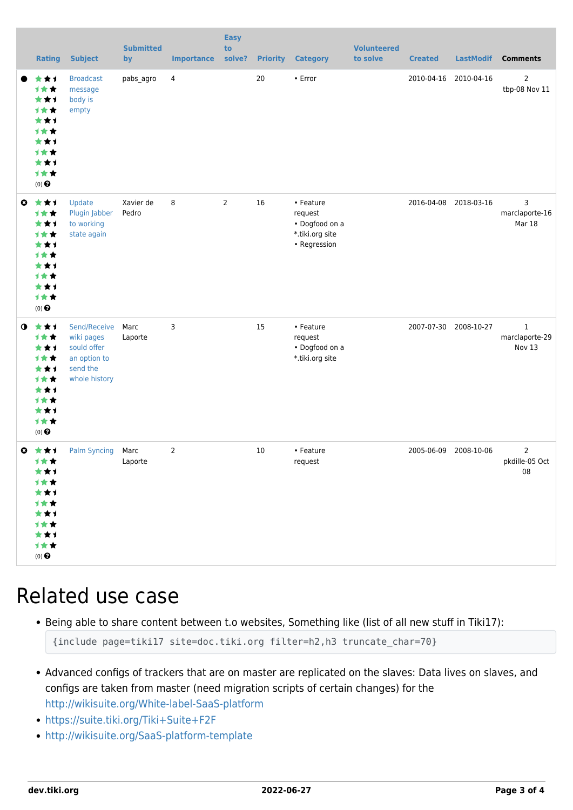|              | <b>Rating</b>                                                                                      | <b>Subject</b>                                                                         | <b>Submitted</b><br>by | <b>Importance</b> | <b>Easy</b><br>to<br>solve? | <b>Priority</b> | <b>Category</b>                                                           | <b>Volunteered</b><br>to solve | <b>Created</b> | <b>LastModif</b>      | <b>Comments</b>                                |
|--------------|----------------------------------------------------------------------------------------------------|----------------------------------------------------------------------------------------|------------------------|-------------------|-----------------------------|-----------------|---------------------------------------------------------------------------|--------------------------------|----------------|-----------------------|------------------------------------------------|
|              | ***<br>计女女<br>***<br>1★★<br>★★1<br><b>1**</b><br>***<br><b>1**</b><br>***<br>计女女<br>$(0)$ $\Theta$ | <b>Broadcast</b><br>message<br>body is<br>empty                                        | pabs_agro              | $\overline{4}$    |                             | 20              | • Error                                                                   |                                | 2010-04-16     | 2010-04-16            | $\overline{2}$<br>tbp-08 Nov 11                |
| $\mathbf{o}$ | 大女子<br>计女女<br>***<br>计女女<br>★★1<br><b>1**</b><br>**1<br><b>1**</b><br>***<br>计女女<br>$(0)$ $\Theta$ | Update<br>Plugin Jabber<br>to working<br>state again                                   | Xavier de<br>Pedro     | 8                 | 2                           | 16              | • Feature<br>request<br>• Dogfood on a<br>*.tiki.org site<br>• Regression |                                | 2016-04-08     | 2018-03-16            | 3<br>marclaporte-16<br>Mar 18                  |
| $\mathbf o$  | ***<br>计女女<br>***<br>1★★<br>***<br>1★★<br>***<br>计女女<br>★★1<br>计女女<br>$(0)$ $\Theta$               | Send/Receive<br>wiki pages<br>sould offer<br>an option to<br>send the<br>whole history | Marc<br>Laporte        | 3                 |                             | 15              | • Feature<br>request<br>• Dogfood on a<br>*.tiki.org site                 |                                |                | 2007-07-30 2008-10-27 | $\mathbf{1}$<br>marclaporte-29<br>Nov 13       |
| ◶            | 大女子<br>计文文<br>***<br>计女女<br>***<br>计女女<br>***<br>计女女<br>***<br>计女女<br>$(0)$ $\odot$                | Palm Syncing Marc                                                                      | Laporte                | $\overline{2}$    |                             | 10              | • Feature<br>request                                                      |                                | 2005-06-09     | 2008-10-06            | $\overline{2}$<br>pkdille-05 Oct<br>${\bf 08}$ |

#### Related use case

Being able to share content between t.o websites, Something like (list of all new stuff in Tiki17):

```
{include page=tiki17 site=doc.tiki.org filter=h2,h3 truncate_char=70}
```
- Advanced configs of trackers that are on master are replicated on the slaves: Data lives on slaves, and configs are taken from master (need migration scripts of certain changes) for the <http://wikisuite.org/White-label-SaaS-platform>
- <https://suite.tiki.org/Tiki+Suite+F2F>
- <http://wikisuite.org/SaaS-platform-template>